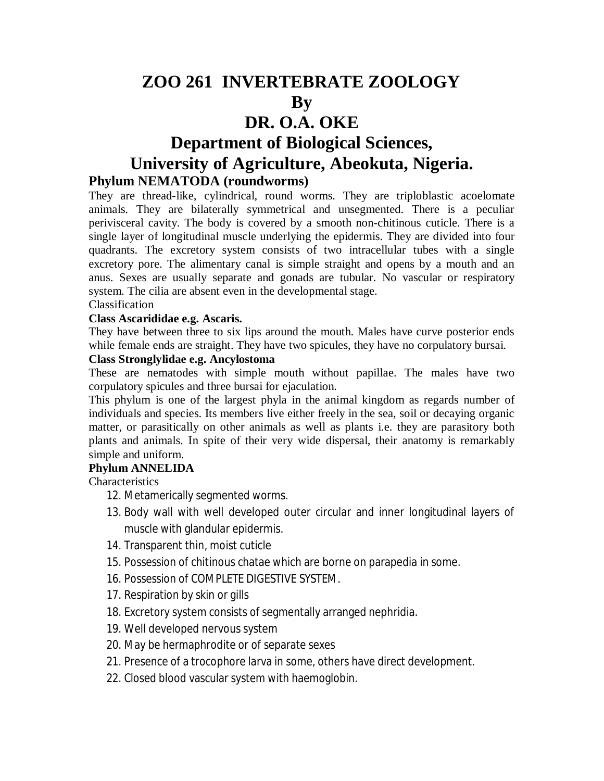# **ZOO 261 INVERTEBRATE ZOOLOGY By DR. O.A. OKE Department of Biological Sciences, University of Agriculture, Abeokuta, Nigeria.**

# **Phylum NEMATODA (roundworms)**

They are thread-like, cylindrical, round worms. They are triploblastic acoelomate animals. They are bilaterally symmetrical and unsegmented. There is a peculiar perivisceral cavity. The body is covered by a smooth non-chitinous cuticle. There is a single layer of longitudinal muscle underlying the epidermis. They are divided into four quadrants. The excretory system consists of two intracellular tubes with a single excretory pore. The alimentary canal is simple straight and opens by a mouth and an anus. Sexes are usually separate and gonads are tubular. No vascular or respiratory system. The cilia are absent even in the developmental stage.

## Classification

#### **Class Ascarididae e.g. Ascaris.**

They have between three to six lips around the mouth. Males have curve posterior ends while female ends are straight. They have two spicules, they have no corpulatory bursai.

#### **Class Stronglylidae e.g. Ancylostoma**

These are nematodes with simple mouth without papillae. The males have two corpulatory spicules and three bursai for ejaculation.

This phylum is one of the largest phyla in the animal kingdom as regards number of individuals and species. Its members live either freely in the sea, soil or decaying organic matter, or parasitically on other animals as well as plants i.e. they are parasitory both plants and animals. In spite of their very wide dispersal, their anatomy is remarkably simple and uniform.

#### **Phylum ANNELIDA**

**Characteristics** 

- 12. Metamerically segmented worms.
- 13. Body wall with well developed outer circular and inner longitudinal layers of muscle with glandular epidermis.
- 14. Transparent thin, moist cuticle
- 15. Possession of chitinous chatae which are borne on parapedia in some.
- 16. Possession of COMPLETE DIGESTIVE SYSTEM.
- 17. Respiration by skin or gills
- 18. Excretory system consists of segmentally arranged nephridia.
- 19. Well developed nervous system
- 20. May be hermaphrodite or of separate sexes
- 21. Presence of a trocophore larva in some, others have direct development.
- 22. Closed blood vascular system with haemoglobin.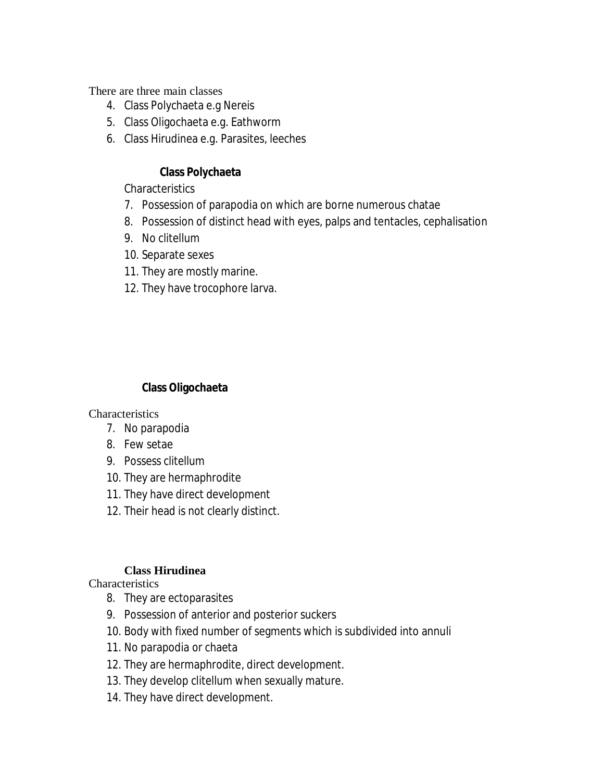There are three main classes

- 4. Class Polychaeta e.g Nereis
- 5. Class Oligochaeta e.g. Eathworm
- 6. Class Hirudinea e.g. Parasites, leeches

## **Class Polychaeta**

**Characteristics** 

- 7. Possession of parapodia on which are borne numerous chatae
- 8. Possession of distinct head with eyes, palps and tentacles, cephalisation
- 9. No clitellum
- 10. Separate sexes
- 11. They are mostly marine.
- 12. They have trocophore larva.

## **Class Oligochaeta**

**Characteristics** 

- 7. No parapodia
- 8. Few setae
- 9. Possess clitellum
- 10. They are hermaphrodite
- 11. They have direct development
- 12. Their head is not clearly distinct.

### **Class Hirudinea**

**Characteristics** 

- 8. They are ectoparasites
- 9. Possession of anterior and posterior suckers
- 10. Body with fixed number of segments which is subdivided into annuli
- 11. No parapodia or chaeta
- 12. They are hermaphrodite, direct development.
- 13. They develop clitellum when sexually mature.
- 14. They have direct development.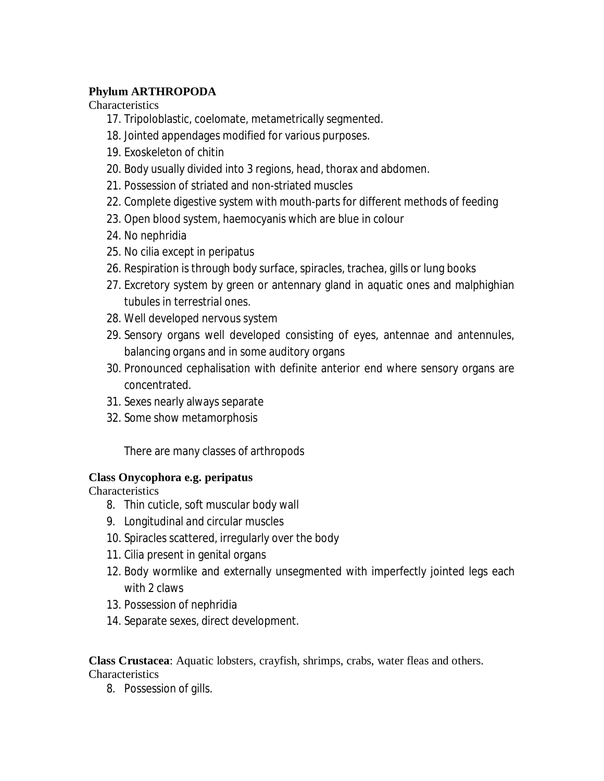# **Phylum ARTHROPODA**

**Characteristics** 

- 17. Tripoloblastic, coelomate, metametrically segmented.
- 18. Jointed appendages modified for various purposes.
- 19. Exoskeleton of chitin
- 20. Body usually divided into 3 regions, head, thorax and abdomen.
- 21. Possession of striated and non-striated muscles
- 22. Complete digestive system with mouth-parts for different methods of feeding
- 23. Open blood system, haemocyanis which are blue in colour
- 24. No nephridia
- 25. No cilia except in peripatus
- 26. Respiration is through body surface, spiracles, trachea, gills or lung books
- 27. Excretory system by green or antennary gland in aquatic ones and malphighian tubules in terrestrial ones.
- 28. Well developed nervous system
- 29. Sensory organs well developed consisting of eyes, antennae and antennules, balancing organs and in some auditory organs
- 30. Pronounced cephalisation with definite anterior end where sensory organs are concentrated.
- 31. Sexes nearly always separate
- 32. Some show metamorphosis

There are many classes of arthropods

# **Class Onycophora e.g. peripatus**

**Characteristics** 

- 8. Thin cuticle, soft muscular body wall
- 9. Longitudinal and circular muscles
- 10. Spiracles scattered, irregularly over the body
- 11. Cilia present in genital organs
- 12. Body wormlike and externally unsegmented with imperfectly jointed legs each with 2 claws
- 13. Possession of nephridia
- 14. Separate sexes, direct development.

**Class Crustacea**: Aquatic lobsters, crayfish, shrimps, crabs, water fleas and others. **Characteristics** 

8. Possession of gills.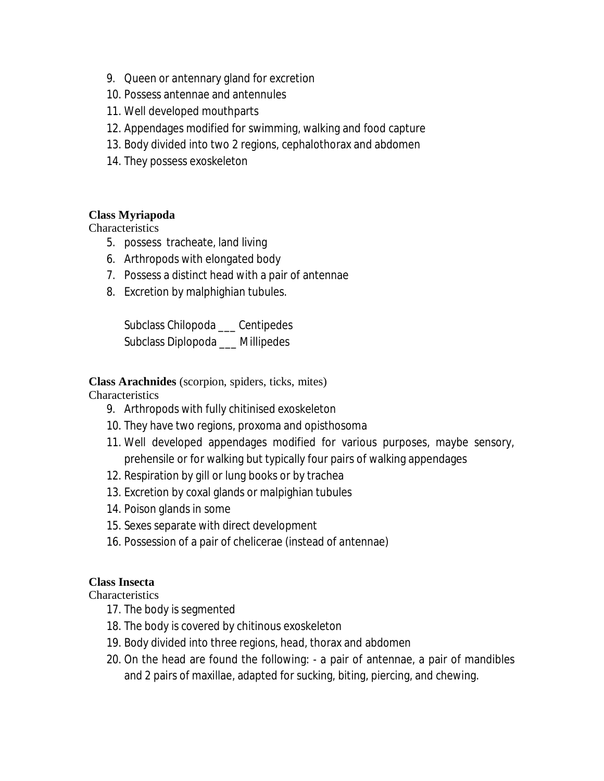- 9. Queen or antennary gland for excretion
- 10. Possess antennae and antennules
- 11. Well developed mouthparts
- 12. Appendages modified for swimming, walking and food capture
- 13. Body divided into two 2 regions, cephalothorax and abdomen
- 14. They possess exoskeleton

### **Class Myriapoda**

**Characteristics** 

- 5. possess tracheate, land living
- 6. Arthropods with elongated body
- 7. Possess a distinct head with a pair of antennae
- 8. Excretion by malphighian tubules.

Subclass Chilopoda \_\_\_ Centipedes Subclass Diplopoda \_\_\_ Millipedes

### **Class Arachnides** (scorpion, spiders, ticks, mites)

Characteristics

- 9. Arthropods with fully chitinised exoskeleton
- 10. They have two regions, proxoma and opisthosoma
- 11. Well developed appendages modified for various purposes, maybe sensory, prehensile or for walking but typically four pairs of walking appendages
- 12. Respiration by gill or lung books or by trachea
- 13. Excretion by coxal glands or malpighian tubules
- 14. Poison glands in some
- 15. Sexes separate with direct development
- 16. Possession of a pair of chelicerae (instead of antennae)

## **Class Insecta**

**Characteristics** 

- 17. The body is segmented
- 18. The body is covered by chitinous exoskeleton
- 19. Body divided into three regions, head, thorax and abdomen
- 20. On the head are found the following: a pair of antennae, a pair of mandibles and 2 pairs of maxillae, adapted for sucking, biting, piercing, and chewing.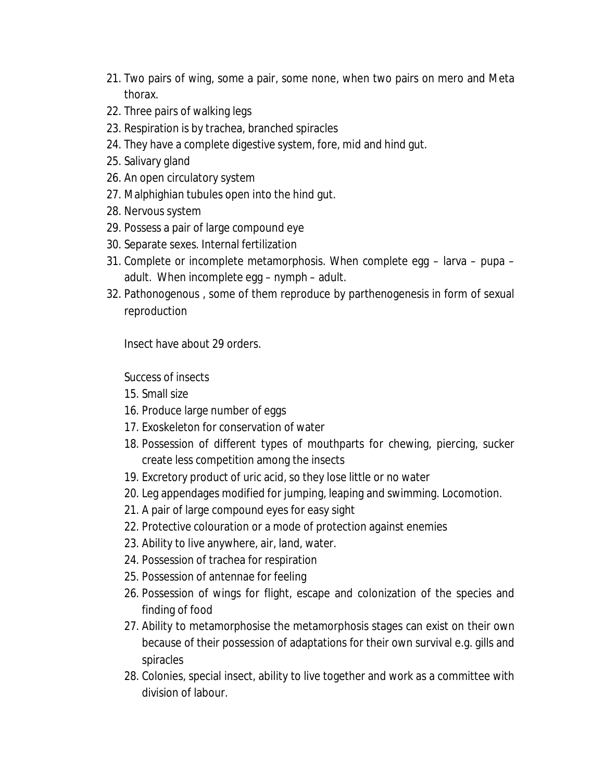- 21. Two pairs of wing, some a pair, some none, when two pairs on mero and Meta thorax.
- 22. Three pairs of walking legs
- 23. Respiration is by trachea, branched spiracles
- 24. They have a complete digestive system, fore, mid and hind gut.
- 25. Salivary gland
- 26. An open circulatory system
- 27. Malphighian tubules open into the hind gut.
- 28. Nervous system
- 29. Possess a pair of large compound eye
- 30. Separate sexes. Internal fertilization
- 31. Complete or incomplete metamorphosis. When complete egg larva pupa adult. When incomplete egg – nymph – adult.
- 32. Pathonogenous , some of them reproduce by parthenogenesis in form of sexual reproduction

Insect have about 29 orders.

Success of insects

- 15. Small size
- 16. Produce large number of eggs
- 17. Exoskeleton for conservation of water
- 18. Possession of different types of mouthparts for chewing, piercing, sucker create less competition among the insects
- 19. Excretory product of uric acid, so they lose little or no water
- 20. Leg appendages modified for jumping, leaping and swimming. Locomotion.
- 21. A pair of large compound eyes for easy sight
- 22. Protective colouration or a mode of protection against enemies
- 23. Ability to live anywhere, air, land, water.
- 24. Possession of trachea for respiration
- 25. Possession of antennae for feeling
- 26. Possession of wings for flight, escape and colonization of the species and finding of food
- 27. Ability to metamorphosise the metamorphosis stages can exist on their own because of their possession of adaptations for their own survival e.g. gills and spiracles
- 28. Colonies, special insect, ability to live together and work as a committee with division of labour.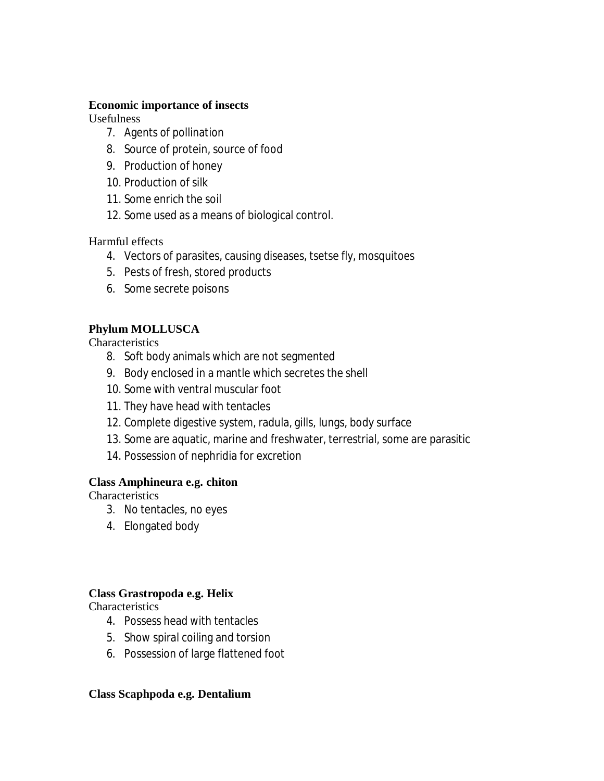#### **Economic importance of insects**

Usefulness

- 7. Agents of pollination
- 8. Source of protein, source of food
- 9. Production of honey
- 10. Production of silk
- 11. Some enrich the soil
- 12. Some used as a means of biological control.

Harmful effects

- 4. Vectors of parasites, causing diseases, tsetse fly, mosquitoes
- 5. Pests of fresh, stored products
- 6. Some secrete poisons

# **Phylum MOLLUSCA**

**Characteristics** 

- 8. Soft body animals which are not segmented
- 9. Body enclosed in a mantle which secretes the shell
- 10. Some with ventral muscular foot
- 11. They have head with tentacles
- 12. Complete digestive system, radula, gills, lungs, body surface
- 13. Some are aquatic, marine and freshwater, terrestrial, some are parasitic
- 14. Possession of nephridia for excretion

# **Class Amphineura e.g. chiton**

**Characteristics** 

- 3. No tentacles, no eyes
- 4. Elongated body

# **Class Grastropoda e.g. Helix**

**Characteristics** 

- 4. Possess head with tentacles
- 5. Show spiral coiling and torsion
- 6. Possession of large flattened foot

### **Class Scaphpoda e.g. Dentalium**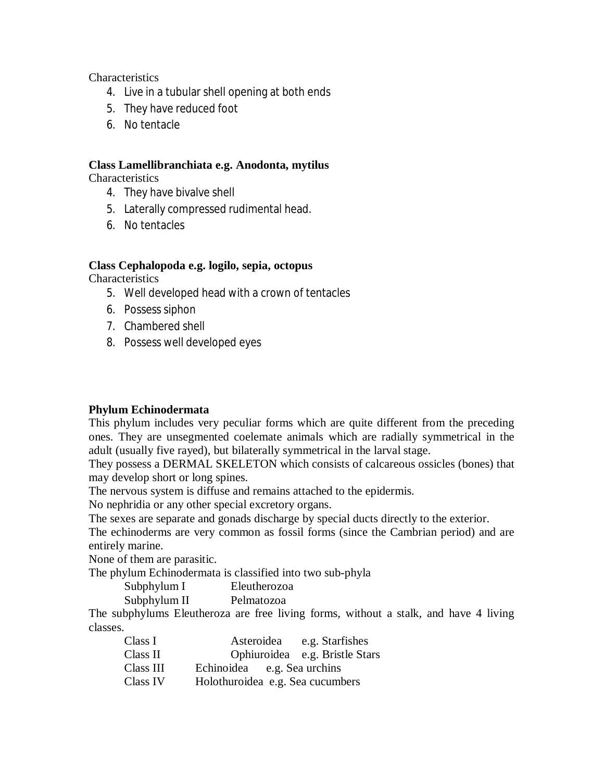**Characteristics** 

- 4. Live in a tubular shell opening at both ends
- 5. They have reduced foot
- 6. No tentacle

#### **Class Lamellibranchiata e.g. Anodonta, mytilus**

**Characteristics** 

- 4. They have bivalve shell
- 5. Laterally compressed rudimental head.
- 6. No tentacles

### **Class Cephalopoda e.g. logilo, sepia, octopus**

**Characteristics** 

- 5. Well developed head with a crown of tentacles
- 6. Possess siphon
- 7. Chambered shell
- 8. Possess well developed eyes

### **Phylum Echinodermata**

This phylum includes very peculiar forms which are quite different from the preceding ones. They are unsegmented coelemate animals which are radially symmetrical in the adult (usually five rayed), but bilaterally symmetrical in the larval stage.

They possess a DERMAL SKELETON which consists of calcareous ossicles (bones) that may develop short or long spines.

The nervous system is diffuse and remains attached to the epidermis.

No nephridia or any other special excretory organs.

The sexes are separate and gonads discharge by special ducts directly to the exterior.

The echinoderms are very common as fossil forms (since the Cambrian period) and are entirely marine.

None of them are parasitic.

The phylum Echinodermata is classified into two sub-phyla

| Subphylum I  | Eleutherozoa |
|--------------|--------------|
| Subphylum II | Pelmatozoa   |

The subphylums Eleutheroza are free living forms, without a stalk, and have 4 living classes.

| Class I   |                                  | Asteroidea e.g. Starfishes     |
|-----------|----------------------------------|--------------------------------|
| Class II  |                                  | Ophiuroidea e.g. Bristle Stars |
| Class III | Echinoidea e.g. Sea urchins      |                                |
| Class IV  | Holothuroidea e.g. Sea cucumbers |                                |